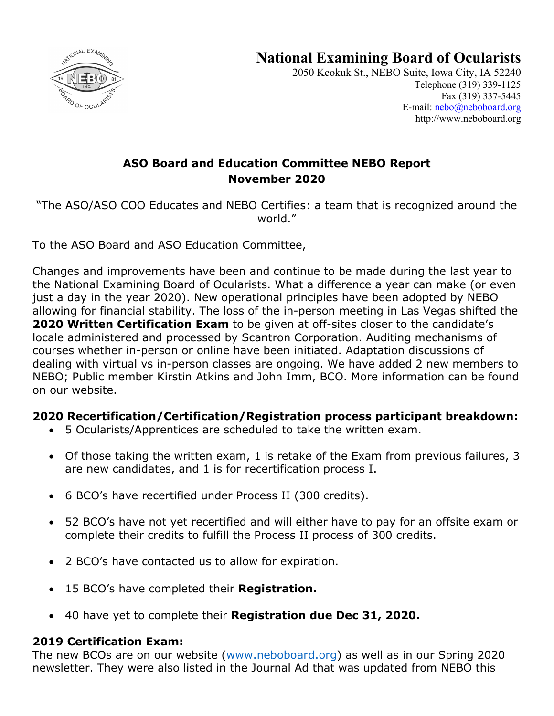



2050 Keokuk St., NEBO Suite, Iowa City, IA 52240 Telephone (319) 339-1125 Fax (319) 337-5445 E-mail: nebo@neboboard.org http://www.neboboard.org

# **ASO Board and Education Committee NEBO Report November 2020**

"The ASO/ASO COO Educates and NEBO Certifies: a team that is recognized around the world."

To the ASO Board and ASO Education Committee,

Changes and improvements have been and continue to be made during the last year to the National Examining Board of Ocularists. What a difference a year can make (or even just a day in the year 2020). New operational principles have been adopted by NEBO allowing for financial stability. The loss of the in-person meeting in Las Vegas shifted the **2020 Written Certification Exam** to be given at off-sites closer to the candidate's locale administered and processed by Scantron Corporation. Auditing mechanisms of courses whether in-person or online have been initiated. Adaptation discussions of dealing with virtual vs in-person classes are ongoing. We have added 2 new members to NEBO; Public member Kirstin Atkins and John Imm, BCO. More information can be found on our website.

#### **2020 Recertification/Certification/Registration process participant breakdown:**

- 5 Ocularists/Apprentices are scheduled to take the written exam.
- Of those taking the written exam, 1 is retake of the Exam from previous failures, 3 are new candidates, and 1 is for recertification process I.
- 6 BCO's have recertified under Process II (300 credits).
- 52 BCO's have not yet recertified and will either have to pay for an offsite exam or complete their credits to fulfill the Process II process of 300 credits.
- 2 BCO's have contacted us to allow for expiration.
- 15 BCO's have completed their **Registration.**
- 40 have yet to complete their **Registration due Dec 31, 2020.**

#### **2019 Certification Exam:**

The new BCOs are on our website (www.neboboard.org) as well as in our Spring 2020 newsletter. They were also listed in the Journal Ad that was updated from NEBO this